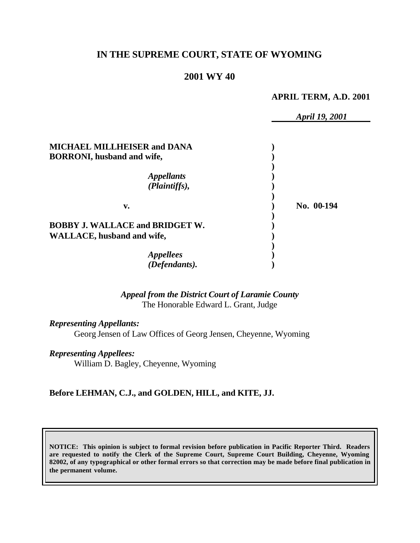# **IN THE SUPREME COURT, STATE OF WYOMING**

### **2001 WY 40**

#### **APRIL TERM, A.D. 2001**

|                                                                             | April 19, 2001 |
|-----------------------------------------------------------------------------|----------------|
| <b>MICHAEL MILLHEISER and DANA</b>                                          |                |
| <b>BORRONI</b> , husband and wife,                                          |                |
| <i><b>Appellants</b></i><br>(Plaintiffs),                                   |                |
| V.                                                                          | No. 00-194     |
| <b>BOBBY J. WALLACE and BRIDGET W.</b><br><b>WALLACE, husband and wife,</b> |                |
|                                                                             |                |
| <i>Appellees</i>                                                            |                |
| (Defendants).                                                               |                |

*Appeal from the District Court of Laramie County* The Honorable Edward L. Grant, Judge

*Representing Appellants:*

Georg Jensen of Law Offices of Georg Jensen, Cheyenne, Wyoming

*Representing Appellees:*

William D. Bagley, Cheyenne, Wyoming

#### **Before LEHMAN, C.J., and GOLDEN, HILL, and KITE, JJ.**

**NOTICE: This opinion is subject to formal revision before publication in Pacific Reporter Third. Readers are requested to notify the Clerk of the Supreme Court, Supreme Court Building, Cheyenne, Wyoming 82002, of any typographical or other formal errors so that correction may be made before final publication in the permanent volume.**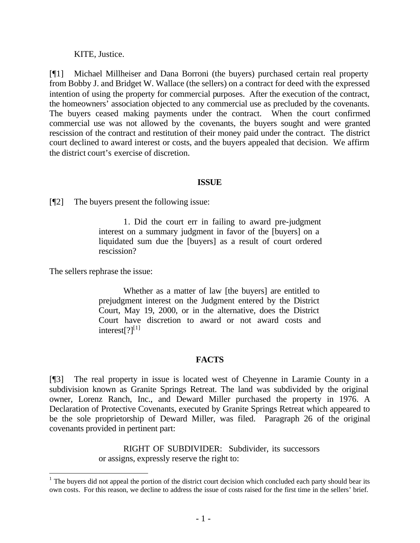KITE, Justice.

[¶1] Michael Millheiser and Dana Borroni (the buyers) purchased certain real property from Bobby J. and Bridget W. Wallace (the sellers) on a contract for deed with the expressed intention of using the property for commercial purposes. After the execution of the contract, the homeowners' association objected to any commercial use as precluded by the covenants. The buyers ceased making payments under the contract. When the court confirmed commercial use was not allowed by the covenants, the buyers sought and were granted rescission of the contract and restitution of their money paid under the contract. The district court declined to award interest or costs, and the buyers appealed that decision. We affirm the district court's exercise of discretion.

## **ISSUE**

[¶2] The buyers present the following issue:

1. Did the court err in failing to award pre-judgment interest on a summary judgment in favor of the [buyers] on a liquidated sum due the [buyers] as a result of court ordered rescission?

The sellers rephrase the issue:

l

Whether as a matter of law [the buyers] are entitled to prejudgment interest on the Judgment entered by the District Court, May 19, 2000, or in the alternative, does the District Court have discretion to award or not award costs and interest $[?]^{[1]}$ 

## **FACTS**

[¶3] The real property in issue is located west of Cheyenne in Laramie County in a subdivision known as Granite Springs Retreat. The land was subdivided by the original owner, Lorenz Ranch, Inc., and Deward Miller purchased the property in 1976. A Declaration of Protective Covenants, executed by Granite Springs Retreat which appeared to be the sole proprietorship of Deward Miller, was filed. Paragraph 26 of the original covenants provided in pertinent part:

> RIGHT OF SUBDIVIDER: Subdivider, its successors or assigns, expressly reserve the right to:

 $<sup>1</sup>$  The buyers did not appeal the portion of the district court decision which concluded each party should bear its</sup> own costs. For this reason, we decline to address the issue of costs raised for the first time in the sellers' brief.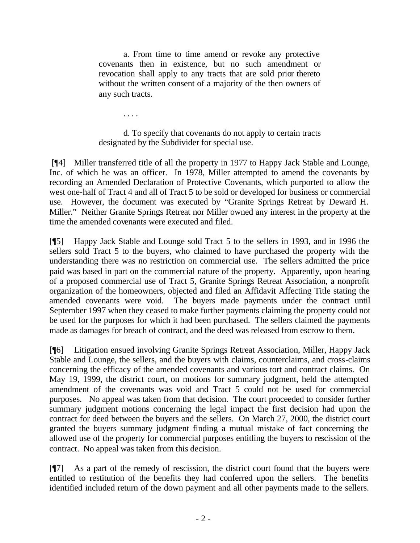a. From time to time amend or revoke any protective covenants then in existence, but no such amendment or revocation shall apply to any tracts that are sold prior thereto without the written consent of a majority of the then owners of any such tracts.

. . . .

## d. To specify that covenants do not apply to certain tracts designated by the Subdivider for special use.

 [¶4] Miller transferred title of all the property in 1977 to Happy Jack Stable and Lounge, Inc. of which he was an officer. In 1978, Miller attempted to amend the covenants by recording an Amended Declaration of Protective Covenants, which purported to allow the west one-half of Tract 4 and all of Tract 5 to be sold or developed for business or commercial use. However, the document was executed by "Granite Springs Retreat by Deward H. Miller." Neither Granite Springs Retreat nor Miller owned any interest in the property at the time the amended covenants were executed and filed.

[¶5] Happy Jack Stable and Lounge sold Tract 5 to the sellers in 1993, and in 1996 the sellers sold Tract 5 to the buyers, who claimed to have purchased the property with the understanding there was no restriction on commercial use. The sellers admitted the price paid was based in part on the commercial nature of the property. Apparently, upon hearing of a proposed commercial use of Tract 5, Granite Springs Retreat Association, a nonprofit organization of the homeowners, objected and filed an Affidavit Affecting Title stating the amended covenants were void. The buyers made payments under the contract until September 1997 when they ceased to make further payments claiming the property could not be used for the purposes for which it had been purchased. The sellers claimed the payments made as damages for breach of contract, and the deed was released from escrow to them.

[¶6] Litigation ensued involving Granite Springs Retreat Association, Miller, Happy Jack Stable and Lounge, the sellers, and the buyers with claims, counterclaims, and cross-claims concerning the efficacy of the amended covenants and various tort and contract claims. On May 19, 1999, the district court, on motions for summary judgment, held the attempted amendment of the covenants was void and Tract 5 could not be used for commercial purposes. No appeal was taken from that decision. The court proceeded to consider further summary judgment motions concerning the legal impact the first decision had upon the contract for deed between the buyers and the sellers. On March 27, 2000, the district court granted the buyers summary judgment finding a mutual mistake of fact concerning the allowed use of the property for commercial purposes entitling the buyers to rescission of the contract. No appeal was taken from this decision.

[¶7] As a part of the remedy of rescission, the district court found that the buyers were entitled to restitution of the benefits they had conferred upon the sellers. The benefits identified included return of the down payment and all other payments made to the sellers.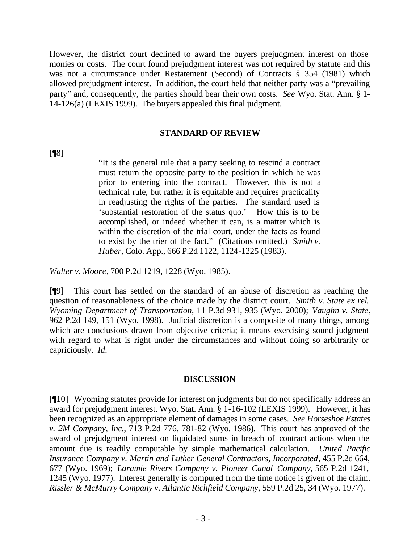However, the district court declined to award the buyers prejudgment interest on those monies or costs. The court found prejudgment interest was not required by statute and this was not a circumstance under Restatement (Second) of Contracts § 354 (1981) which allowed prejudgment interest. In addition, the court held that neither party was a "prevailing party" and, consequently, the parties should bear their own costs. *See* Wyo. Stat. Ann. § 1- 14-126(a) (LEXIS 1999). The buyers appealed this final judgment.

#### **STANDARD OF REVIEW**

[¶8]

"It is the general rule that a party seeking to rescind a contract must return the opposite party to the position in which he was prior to entering into the contract. However, this is not a technical rule, but rather it is equitable and requires practicality in readjusting the rights of the parties. The standard used is 'substantial restoration of the status quo.' How this is to be accomplished, or indeed whether it can, is a matter which is within the discretion of the trial court, under the facts as found to exist by the trier of the fact." (Citations omitted.) *Smith v. Huber*, Colo. App., 666 P.2d 1122, 1124-1225 (1983).

*Walter v. Moore*, 700 P.2d 1219, 1228 (Wyo. 1985).

[¶9] This court has settled on the standard of an abuse of discretion as reaching the question of reasonableness of the choice made by the district court. *Smith v. State ex rel. Wyoming Department of Transportation*, 11 P.3d 931, 935 (Wyo. 2000); *Vaughn v. State*, 962 P.2d 149, 151 (Wyo. 1998). Judicial discretion is a composite of many things, among which are conclusions drawn from objective criteria; it means exercising sound judgment with regard to what is right under the circumstances and without doing so arbitrarily or capriciously. *Id.*

#### **DISCUSSION**

[¶10] Wyoming statutes provide for interest on judgments but do not specifically address an award for prejudgment interest. Wyo. Stat. Ann. § 1-16-102 (LEXIS 1999). However, it has been recognized as an appropriate element of damages in some cases. *See Horseshoe Estates v. 2M Company, Inc.*, 713 P.2d 776, 781-82 (Wyo. 1986). This court has approved of the award of prejudgment interest on liquidated sums in breach of contract actions when the amount due is readily computable by simple mathematical calculation. *United Pacific Insurance Company v. Martin and Luther General Contractors, Incorporated*, 455 P.2d 664, 677 (Wyo. 1969); *Laramie Rivers Company v. Pioneer Canal Company,* 565 P.2d 1241, 1245 (Wyo. 1977). Interest generally is computed from the time notice is given of the claim. *Rissler & McMurry Company v. Atlantic Richfield Company*, 559 P.2d 25, 34 (Wyo. 1977).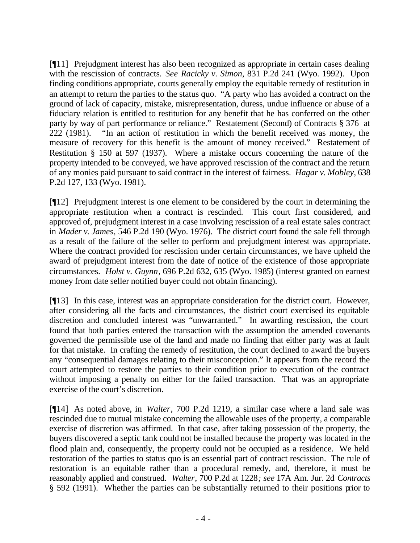[¶11] Prejudgment interest has also been recognized as appropriate in certain cases dealing with the rescission of contracts. *See Racicky v. Simon*, 831 P.2d 241 (Wyo. 1992). Upon finding conditions appropriate, courts generally employ the equitable remedy of restitution in an attempt to return the parties to the status quo. "A party who has avoided a contract on the ground of lack of capacity, mistake, misrepresentation, duress, undue influence or abuse of a fiduciary relation is entitled to restitution for any benefit that he has conferred on the other party by way of part performance or reliance." Restatement (Second) of Contracts § 376 at 222 (1981). "In an action of restitution in which the benefit received was money, the measure of recovery for this benefit is the amount of money received." Restatement of Restitution § 150 at 597 (1937). Where a mistake occurs concerning the nature of the property intended to be conveyed, we have approved rescission of the contract and the return of any monies paid pursuant to said contract in the interest of fairness. *Hagar v. Mobley*, 638 P.2d 127, 133 (Wyo. 1981).

[¶12] Prejudgment interest is one element to be considered by the court in determining the appropriate restitution when a contract is rescinded. This court first considered, and approved of, prejudgment interest in a case involving rescission of a real estate sales contract in *Mader v. James*, 546 P.2d 190 (Wyo. 1976). The district court found the sale fell through as a result of the failure of the seller to perform and prejudgment interest was appropriate. Where the contract provided for rescission under certain circumstances, we have upheld the award of prejudgment interest from the date of notice of the existence of those appropriate circumstances. *Holst v. Guynn*, 696 P.2d 632, 635 (Wyo. 1985) (interest granted on earnest money from date seller notified buyer could not obtain financing).

[¶13] In this case, interest was an appropriate consideration for the district court. However, after considering all the facts and circumstances, the district court exercised its equitable discretion and concluded interest was "unwarranted." In awarding rescission, the court found that both parties entered the transaction with the assumption the amended covenants governed the permissible use of the land and made no finding that either party was at fault for that mistake. In crafting the remedy of restitution, the court declined to award the buyers any "consequential damages relating to their misconception." It appears from the record the court attempted to restore the parties to their condition prior to execution of the contract without imposing a penalty on either for the failed transaction. That was an appropriate exercise of the court's discretion.

[¶14] As noted above, in *Walter*, 700 P.2d 1219, a similar case where a land sale was rescinded due to mutual mistake concerning the allowable uses of the property, a comparable exercise of discretion was affirmed. In that case, after taking possession of the property, the buyers discovered a septic tank could not be installed because the property was located in the flood plain and, consequently, the property could not be occupied as a residence. We held restoration of the parties to status quo is an essential part of contract rescission. The rule of restoration is an equitable rather than a procedural remedy, and, therefore, it must be reasonably applied and construed. *Walter*, 700 P.2d at 1228*; see* 17A Am. Jur. 2d *Contracts* § 592 (1991). Whether the parties can be substantially returned to their positions prior to